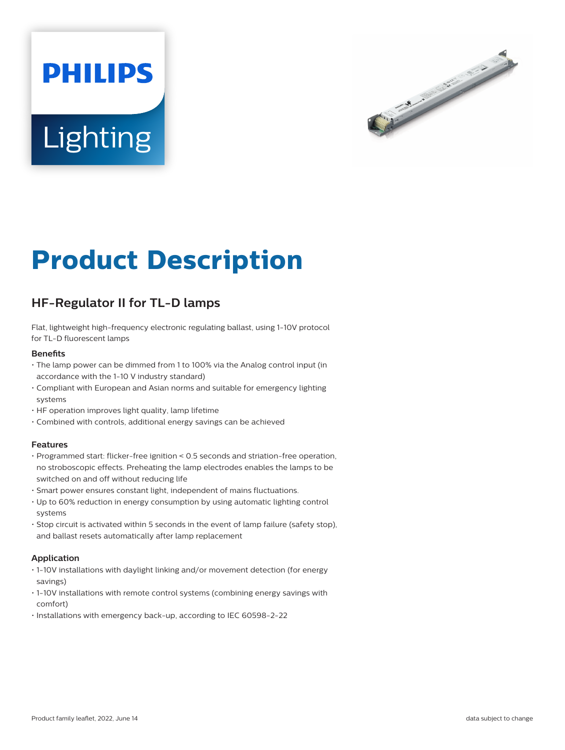# **PHILIPS Lighting**



# **Product Description**

# **HF-Regulator II for TL-D lamps**

Flat, lightweight high-frequency electronic regulating ballast, using 1-10V protocol for TL-D fluorescent lamps

#### **Benefits**

- The lamp power can be dimmed from 1 to 100% via the Analog control input (in accordance with the 1-10 V industry standard)
- Compliant with European and Asian norms and suitable for emergency lighting systems
- HF operation improves light quality, lamp lifetime
- Combined with controls, additional energy savings can be achieved

#### **Features**

- Programmed start: flicker-free ignition < 0.5 seconds and striation-free operation, no stroboscopic effects. Preheating the lamp electrodes enables the lamps to be switched on and off without reducing life
- Smart power ensures constant light, independent of mains fluctuations.
- Up to 60% reduction in energy consumption by using automatic lighting control systems
- Stop circuit is activated within 5 seconds in the event of lamp failure (safety stop), and ballast resets automatically after lamp replacement

#### **Application**

- 1-10V installations with daylight linking and/or movement detection (for energy savings)
- 1-10V installations with remote control systems (combining energy savings with comfort)
- Installations with emergency back-up, according to IEC 60598-2-22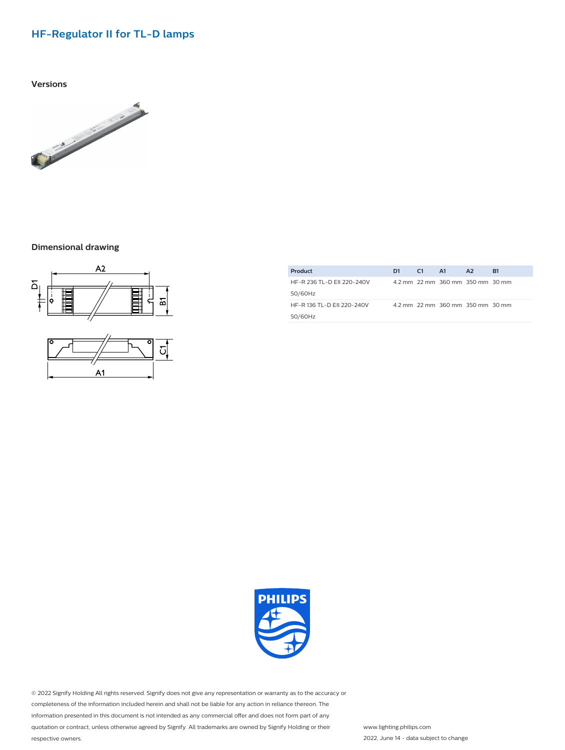## **HF-Regulator II for TL-D lamps**

**Versions**



#### **Dimensional drawing**





| Product                    | D1. | C1 | A1                                | A2 | <b>B1</b> |
|----------------------------|-----|----|-----------------------------------|----|-----------|
| HF-R 236 TL-D FII 220-240V |     |    | 4.2 mm 2.2 mm 360 mm 350 mm 30 mm |    |           |
| 50/60Hz                    |     |    |                                   |    |           |
| HF-R 136 TL-D EII 220-240V |     |    | 4.2 mm 22 mm 360 mm 350 mm 30 mm  |    |           |
| 50/60Hz                    |     |    |                                   |    |           |



© 2022 Signify Holding All rights reserved. Signify does not give any representation or warranty as to the accuracy or completeness of the information included herein and shall not be liable for any action in reliance thereon. The information presented in this document is not intended as any commercial offer and does not form part of any quotation or contract, unless otherwise agreed by Signify. All trademarks are owned by Signify Holding or their respective owners.

www.lighting.philips.com 2022, June 14 - data subject to change